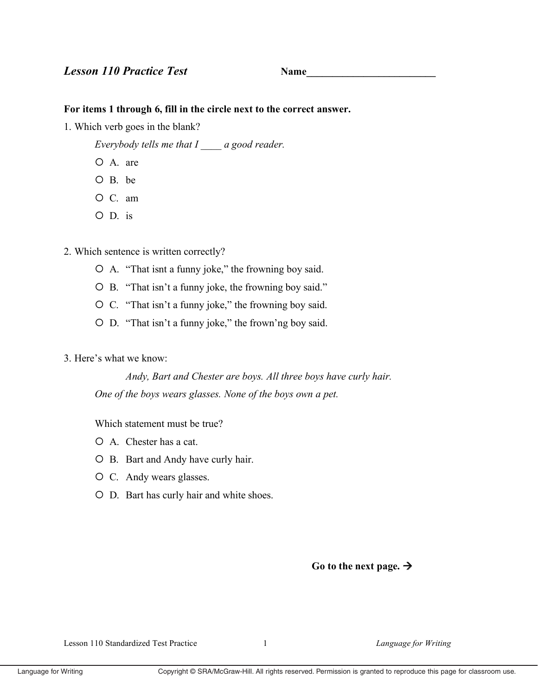# **Lesson 110 Practice Test**

**Name** 

## For items 1 through 6, fill in the circle next to the correct answer.

- 1. Which verb goes in the blank?
	- Everybody tells me that  $I$  a good reader.
	- O A. are
	- $O$  B. be
	- O C. am
	- $O$   $D$  is
- 2. Which sentence is written correctly?
	- O A. "That isnt a funny joke," the frowning boy said.
	- O B. "That isn't a funny joke, the frowning boy said."
	- $\circ$  C. "That isn't a funny joke," the frowning boy said.
	- O D. "That isn't a funny joke," the frown'ng boy said.

## 3. Here's what we know:

Andy, Bart and Chester are boys. All three boys have curly hair. One of the boys wears glasses. None of the boys own a pet.

Which statement must be true?

- $O$  A. Chester has a cat.
- O B. Bart and Andy have curly hair.
- O C. Andy wears glasses.
- O D. Bart has curly hair and white shoes.

Go to the next page.  $\rightarrow$ 

Lesson 110 Standardized Test Practice

 $\mathbf{1}$ 

Language for Writing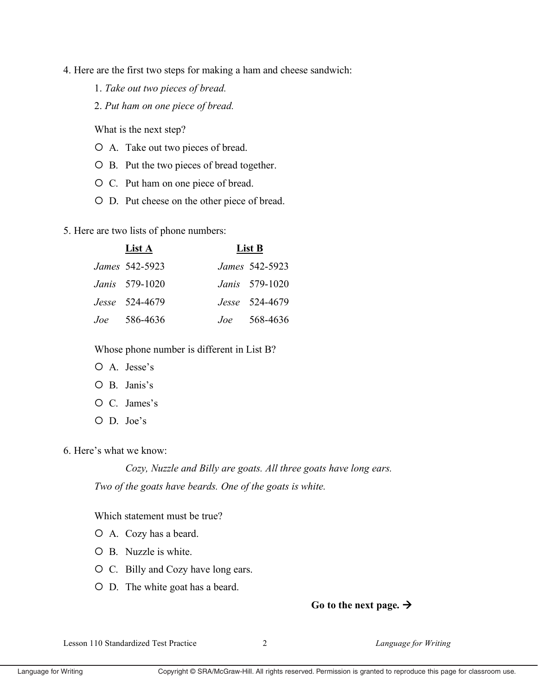- 4. Here are the first two steps for making a ham and cheese sandwich:
	- 1. *Take out two pieces of bread.*
	- 2. *Put ham on one piece of bread.*

What is the next step?

- � A. Take out two pieces of bread.
- $O$  B. Put the two pieces of bread together.
- � C. Put ham on one piece of bread.
- � D. Put cheese on the other piece of bread.
- 5. Here are two lists of phone numbers:

| List A         | List B |                       |
|----------------|--------|-----------------------|
| James 542-5923 |        | James 542-5923        |
| Janis 579-1020 |        | <i>Janis</i> 579-1020 |
| Jesse 524-4679 |        | Jesse 524-4679        |
| $Joe 586-4636$ |        | <i>Joe</i> 568-4636   |

Whose phone number is different in List B?

- O A. Jesse's
- O B. Janis's
- O C. James's
- O D. Joe's

6. Here's what we know:

*Cozy, Nuzzle and Billy are goats. All three goats have long ears. Two of the goats have beards. One of the goats is white.*

Which statement must be true?

- � A. Cozy has a beard.
- � B. Nuzzle is white.
- � C. Billy and Cozy have long ears.
- � D. The white goat has a beard.

## Go to the next page.  $\rightarrow$

Lesson 110 Standardized Test Practice 2 *Language for Writing*